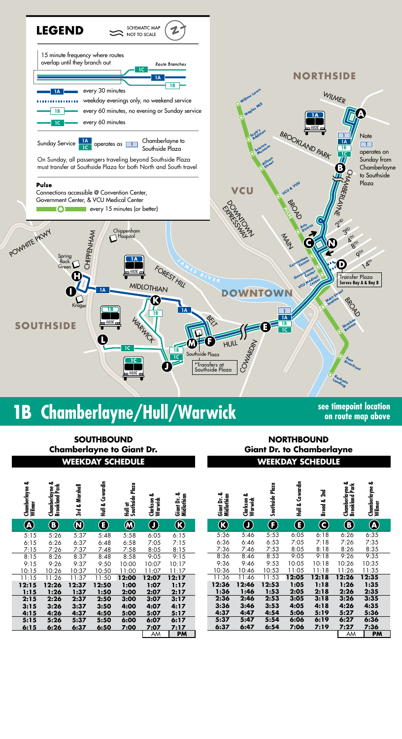

## **1B Chamberlayne/Hull/Warwick see timepoint location**

**on route map above**

## **SOUTHBOUND Chamberlayne to Giant Dr.**

| Chamberlayne &<br>Wilmer | Chamberlayne &<br>Park<br>P<br><b>Brookland</b> | Marshall<br>٥ð<br>3rd | Cowardin<br>$\frac{2}{1}$ | Plaza<br>Hull ar<br>Southside l | ఱ<br>Warwick<br>Clarkson | ఱ<br>Midlothian<br>Giant Dr. |
|--------------------------|-------------------------------------------------|-----------------------|---------------------------|---------------------------------|--------------------------|------------------------------|
| A                        | B                                               | Ñ                     | E                         | $\bf M$                         | Ŋ                        | $\boldsymbol{\mathbb{R}}$    |
| 5:15                     | 5:26                                            | 5:37                  | 5:48                      | 5:58                            | 6:05                     | 6:15                         |
| 6:15                     | 6:26                                            | 6:37                  | 6:48                      | 6:58                            | 7:05                     | 7:15                         |
| 7:15                     | 7:26                                            | 7:37                  | 7:48                      | 7:58                            | 8:05                     | 8:15                         |
| 8:15                     | 8:26                                            | 8:37                  | 8:48                      | 8:58                            | 9:05                     | 9:15                         |
| 9:15                     | 9:26                                            | 9:37                  | 9:50                      | 10:00                           | 10:07                    | 10:17                        |
| 10:15                    | 10:26                                           | 10:37                 | 10:50                     | 11:00                           | 11:07                    | 11:17                        |
| 11:15                    | 11:26                                           | 11:37                 | 11:50                     | 12:00                           | 12:07                    | 12:17                        |
| 12:15                    | 12:26                                           | 12:37                 | 12:50                     | 1:00                            | 1:07                     | 1:17                         |
| 1:15                     | 1:26                                            | 1:37                  | 1:50                      | 2:00                            | 2:07                     | 2:17                         |
| 2:15                     | 2:26                                            | 2:37                  | 2:50                      | 3:00                            | 3:07                     | 3:17                         |
| 3:15                     | 3:26                                            | 3:37                  | 3:50                      | 4:00                            | 4:07                     | 4:17                         |
| 4:15                     | 4:26                                            | 4:37                  | 4:50                      | 5:00                            | 5:07                     | 5:17                         |
| 5:15                     | 5:26                                            | 5:37                  | 5:50                      | 6:00                            | 6:07                     | 6:17                         |
| 6:15                     | 6:26                                            | 6:37                  | 6:50                      | 7:00                            | 7:07                     | 7:17                         |
|                          |                                                 |                       |                           |                                 | AM                       | PM                           |

## **WEEKDAY SCHEDULE WEEKDAY SCHEDULE NORTHBOUND Giant Dr. to Chamberlayne**

| ð<br>Š<br>Wilmer<br>n<br>Sip | Chamberlayne &<br>Brookland Park | Marshall<br>ಹ<br>टे<br>ज | Cowardin<br>A<br>그<br>모 | Hull at<br>Southside Plaza | త<br>Clarkson<br>Warwick | ఱ<br>Giant Dr. &<br>Midlothian | ఱ<br>Giant Dr. &<br>Midlothian | ఱ<br>Clarkson<br>Warwick | Southside Plaza        | Cowardin<br>liuli<br>로 | 2nd<br>ಹ<br>Broad     | Chamberlayne &<br>Brookland Park | ఱ<br>Chamberlayne :<br>Wilmer     |
|------------------------------|----------------------------------|--------------------------|-------------------------|----------------------------|--------------------------|--------------------------------|--------------------------------|--------------------------|------------------------|------------------------|-----------------------|----------------------------------|-----------------------------------|
| $\widehat{\mathbf{A}}$       | $\bf{O}$                         | $\bigcirc$               | E                       | $\bm{\textcircled{N}}$     | $\bigcirc$               |                                | $\mathcal{\mathcal{R}}$        | $\bigcirc$               | $\bf \Theta$           | $\bf \bm{\mathbb{G}}$  | $\bf C$               | $\bigcirc$                       | $\bigcirc\hspace{-1.5ex}\bigcirc$ |
| 5:15<br>.15                  | 5:26<br>6:26                     | 5:37<br>6:37             | 5:48<br>6:48            | 5:58<br>6:58               | 6:05<br>7:05             | 6:15<br>7:15                   | 5:36<br>6:36                   | 5:46<br>6:46             | 5:53<br>6:53           | 6:05<br>7:05           | 6:18<br>7:18          | 6:26<br>7:26                     | 6:35<br>7:35                      |
| 15'                          | 7:26                             | 7:37                     | 7:48                    | 7:58                       | 8:05                     | 8:15                           | 7:36                           | 7:46                     | 7:53                   | 8:05                   | 8:18                  | 8:26                             | 8:35                              |
| :15<br>: 15                  | 8:26<br>9:26                     | 8:37<br>9:37             | 8:48<br>9:50            | 8:58<br>10:00              | 9:05<br>10:07            | 9:15<br>10:17                  | 8:36<br>9:36                   | 8:46<br>9:46             | 8:53<br>9:53           | 9:05<br>10:05          | 9:18<br>10:18         | 9:26<br>10:26                    | 9:35<br>10:35                     |
| : 15                         | 10:26                            | 10:37                    | 10:50                   | 11:00                      | 1:07                     | 1:17                           | 0:36                           | 10:46                    | 10:53                  | 11:05                  | 11:18                 | 11:26                            | 11:35                             |
| :15<br>:15<br>:15            | 11:26<br>12:26<br>1:26           | 11:37<br>12:37<br>1:37   | 11:50<br>12:50<br>1:50  | 12:00<br>1:00<br>2:00      | 12:07<br>1:07<br>2:07    | 12:17<br>1:17<br>2:17          | 11:36<br>12:36<br>1:36         | 11:46<br>12:46<br>1:46   | 11:53<br>12:53<br>1:53 | 12:05<br>1:05<br>2:05  | 12:18<br>1:18<br>2:18 | 12:26<br>1:26<br>2:26            | 12:35<br>1:35<br>2:35             |
| :15<br>:15<br>:15            | 2:26<br>3:26<br>4:26             | 2:37<br>3:37<br>4:37     | 2:50<br>3:50<br>4:50    | 3:00<br>4:00<br>5:00       | 3:07<br>4:07<br>5:07     | 3:17<br>4:17<br>5:17           | 2:36<br>3:36<br>4:37           | 2:46<br>3:46<br>4:47     | 2:53<br>3:53<br>4:54   | 3:05<br>4:05<br>5:06   | 3:18<br>4:18<br>5:19  | 3:26<br>4:26<br>5:27             | 3:35<br>4:35<br>5:36              |
| :15<br>:15                   | 5:26<br>6:26                     | 5:37<br>6:37             | 5:50<br>6:50            | 6:00<br>7:00               | 6:07<br>7:07<br>ΑM       | 6:17<br>7:17<br>PM             | 5:37<br>6:37                   | 5:47<br>6:47             | 5:54<br>6:54           | 6:06<br>7:06           | 6:19<br>7:19          | 6:27<br>7:27<br>AM               | 6:36<br>7:36<br><b>PM</b>         |
|                              |                                  |                          |                         |                            |                          |                                |                                |                          |                        |                        |                       |                                  |                                   |